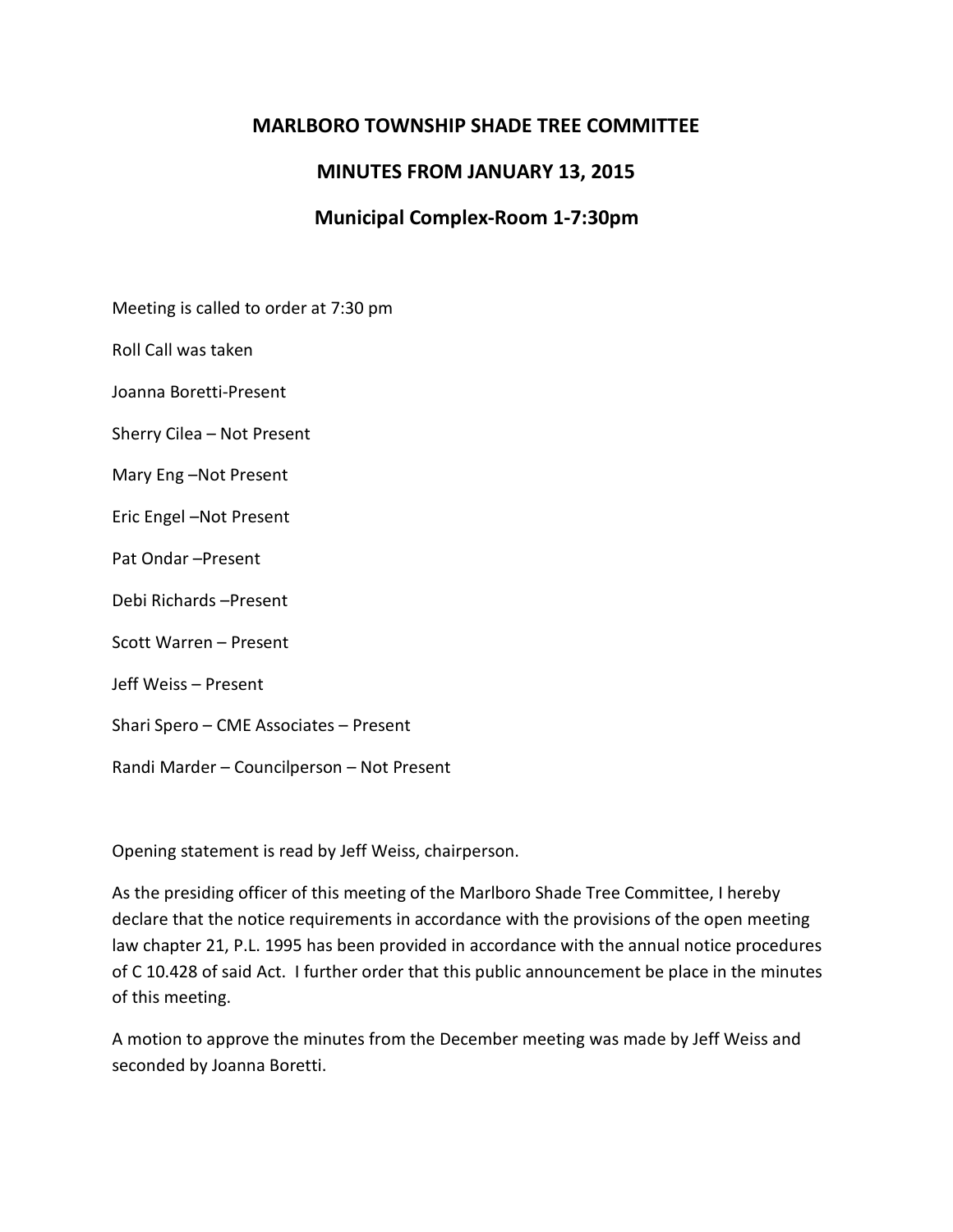# **MARLBORO TOWNSHIP SHADE TREE COMMITTEE**

# **MINUTES FROM JANUARY 13, 2015**

# **Municipal Complex-Room 1-7:30pm**

Meeting is called to order at 7:30 pm

Roll Call was taken

Joanna Boretti-Present

Sherry Cilea – Not Present

Mary Eng –Not Present

Eric Engel –Not Present

Pat Ondar –Present

Debi Richards –Present

Scott Warren – Present

Jeff Weiss – Present

Shari Spero – CME Associates – Present

Randi Marder – Councilperson – Not Present

Opening statement is read by Jeff Weiss, chairperson.

As the presiding officer of this meeting of the Marlboro Shade Tree Committee, I hereby declare that the notice requirements in accordance with the provisions of the open meeting law chapter 21, P.L. 1995 has been provided in accordance with the annual notice procedures of C 10.428 of said Act. I further order that this public announcement be place in the minutes of this meeting.

A motion to approve the minutes from the December meeting was made by Jeff Weiss and seconded by Joanna Boretti.